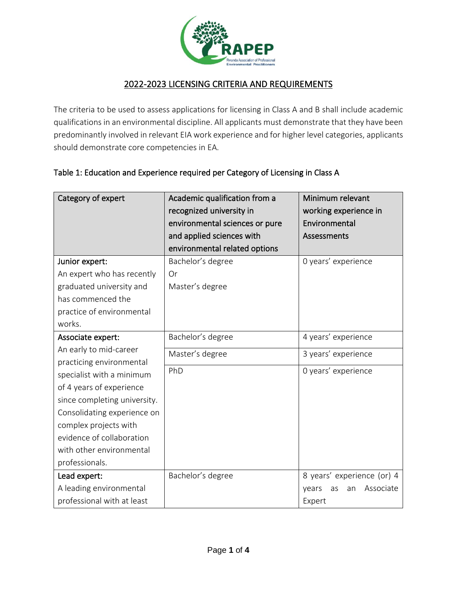

## 2022-2023 LICENSING CRITERIA AND REQUIREMENTS

The criteria to be used to assess applications for licensing in Class A and B shall include academic qualifications in an environmental discipline. All applicants must demonstrate that they have been predominantly involved in relevant EIA work experience and for higher level categories, applicants should demonstrate core competencies in EA.

## Table 1: Education and Experience required per Category of Licensing in Class A

| Category of expert                                                                                                                                                                                                                                                                                  | Academic qualification from a<br>recognized university in<br>environmental sciences or pure<br>and applied sciences with<br>environmental related options | Minimum relevant<br>working experience in<br>Environmental<br><b>Assessments</b> |
|-----------------------------------------------------------------------------------------------------------------------------------------------------------------------------------------------------------------------------------------------------------------------------------------------------|-----------------------------------------------------------------------------------------------------------------------------------------------------------|----------------------------------------------------------------------------------|
| Junior expert:<br>An expert who has recently<br>graduated university and<br>has commenced the<br>practice of environmental<br>works.                                                                                                                                                                | Bachelor's degree<br>Or<br>Master's degree                                                                                                                | 0 years' experience                                                              |
| Associate expert:<br>An early to mid-career<br>practicing environmental<br>specialist with a minimum<br>of 4 years of experience<br>since completing university.<br>Consolidating experience on<br>complex projects with<br>evidence of collaboration<br>with other environmental<br>professionals. | Bachelor's degree<br>Master's degree<br>PhD                                                                                                               | 4 years' experience<br>3 years' experience<br>0 years' experience                |
| Lead expert:<br>A leading environmental<br>professional with at least                                                                                                                                                                                                                               | Bachelor's degree                                                                                                                                         | 8 years' experience (or) 4<br>Associate<br>years<br>as<br>an<br>Expert           |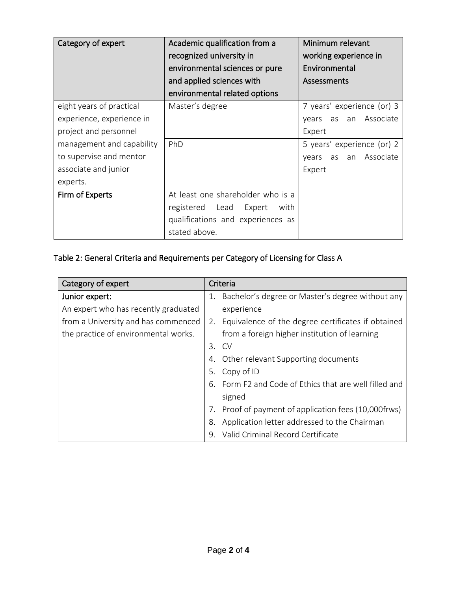| Category of expert                                                                                                                                                         | Academic qualification from a<br>recognized university in<br>environmental sciences or pure<br>and applied sciences with<br>environmental related options | Minimum relevant<br>working experience in<br>Environmental<br><b>Assessments</b>                                                  |
|----------------------------------------------------------------------------------------------------------------------------------------------------------------------------|-----------------------------------------------------------------------------------------------------------------------------------------------------------|-----------------------------------------------------------------------------------------------------------------------------------|
| eight years of practical<br>experience, experience in<br>project and personnel<br>management and capability<br>to supervise and mentor<br>associate and junior<br>experts. | Master's degree<br>PhD                                                                                                                                    | 7 years' experience (or) 3<br>years as an Associate<br>Expert<br>5 years' experience (or) 2<br>as an Associate<br>vears<br>Expert |
| Firm of Experts                                                                                                                                                            | At least one shareholder who is a<br>registered Lead Expert<br>with<br>qualifications and experiences as<br>stated above.                                 |                                                                                                                                   |

## Table 2: General Criteria and Requirements per Category of Licensing for Class A

| Category of expert                   |    | Criteria                                              |  |
|--------------------------------------|----|-------------------------------------------------------|--|
| Junior expert:                       | 1. | Bachelor's degree or Master's degree without any      |  |
| An expert who has recently graduated |    | experience                                            |  |
| from a University and has commenced  |    | 2. Equivalence of the degree certificates if obtained |  |
| the practice of environmental works. |    | from a foreign higher institution of learning         |  |
|                                      | 3. | CV                                                    |  |
|                                      | 4. | Other relevant Supporting documents                   |  |
|                                      | 5. | Copy of ID                                            |  |
|                                      | 6  | Form F2 and Code of Ethics that are well filled and   |  |
|                                      |    | signed                                                |  |
|                                      | 7. | Proof of payment of application fees (10,000frws)     |  |
|                                      | 8. | Application letter addressed to the Chairman          |  |
|                                      | 9. | Valid Criminal Record Certificate                     |  |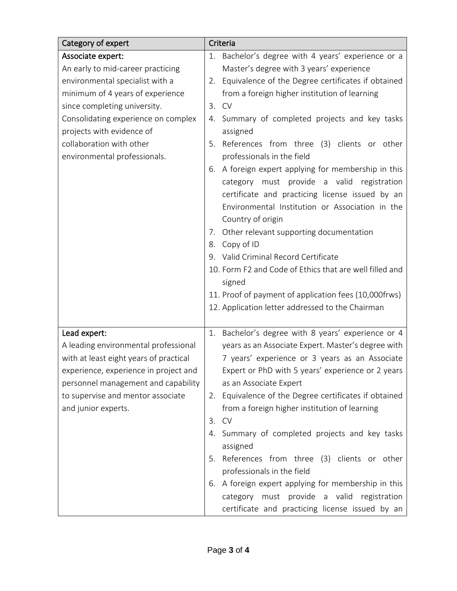| Category of expert                     | Criteria                                                                                                                                                                                                                                                                                                                                                                                                                                                                                                                    |
|----------------------------------------|-----------------------------------------------------------------------------------------------------------------------------------------------------------------------------------------------------------------------------------------------------------------------------------------------------------------------------------------------------------------------------------------------------------------------------------------------------------------------------------------------------------------------------|
| Associate expert:                      | Bachelor's degree with 4 years' experience or a<br>1.                                                                                                                                                                                                                                                                                                                                                                                                                                                                       |
| An early to mid-career practicing      | Master's degree with 3 years' experience                                                                                                                                                                                                                                                                                                                                                                                                                                                                                    |
| environmental specialist with a        | 2. Equivalence of the Degree certificates if obtained                                                                                                                                                                                                                                                                                                                                                                                                                                                                       |
| minimum of 4 years of experience       | from a foreign higher institution of learning                                                                                                                                                                                                                                                                                                                                                                                                                                                                               |
| since completing university.           | 3. CV                                                                                                                                                                                                                                                                                                                                                                                                                                                                                                                       |
| Consolidating experience on complex    | Summary of completed projects and key tasks<br>4.                                                                                                                                                                                                                                                                                                                                                                                                                                                                           |
| projects with evidence of              | assigned                                                                                                                                                                                                                                                                                                                                                                                                                                                                                                                    |
| collaboration with other               | 5. References from three (3) clients or other                                                                                                                                                                                                                                                                                                                                                                                                                                                                               |
| environmental professionals.           | professionals in the field                                                                                                                                                                                                                                                                                                                                                                                                                                                                                                  |
|                                        | 6. A foreign expert applying for membership in this<br>category must provide a valid<br>registration<br>certificate and practicing license issued by an<br>Environmental Institution or Association in the<br>Country of origin<br>Other relevant supporting documentation<br>7.<br>8. Copy of ID<br>9. Valid Criminal Record Certificate<br>10. Form F2 and Code of Ethics that are well filled and<br>signed<br>11. Proof of payment of application fees (10,000frws)<br>12. Application letter addressed to the Chairman |
| Lead expert:                           | Bachelor's degree with 8 years' experience or 4<br>1.                                                                                                                                                                                                                                                                                                                                                                                                                                                                       |
| A leading environmental professional   | years as an Associate Expert. Master's degree with                                                                                                                                                                                                                                                                                                                                                                                                                                                                          |
| with at least eight years of practical | 7 years' experience or 3 years as an Associate                                                                                                                                                                                                                                                                                                                                                                                                                                                                              |
| experience, experience in project and  | Expert or PhD with 5 years' experience or 2 years                                                                                                                                                                                                                                                                                                                                                                                                                                                                           |
| personnel management and capability    | as an Associate Expert                                                                                                                                                                                                                                                                                                                                                                                                                                                                                                      |
| to supervise and mentor associate      | 2. Equivalence of the Degree certificates if obtained                                                                                                                                                                                                                                                                                                                                                                                                                                                                       |
| and junior experts.                    | from a foreign higher institution of learning                                                                                                                                                                                                                                                                                                                                                                                                                                                                               |
|                                        | <b>CV</b><br>3.                                                                                                                                                                                                                                                                                                                                                                                                                                                                                                             |
|                                        | Summary of completed projects and key tasks<br>4.                                                                                                                                                                                                                                                                                                                                                                                                                                                                           |
|                                        | assigned                                                                                                                                                                                                                                                                                                                                                                                                                                                                                                                    |
|                                        | References from three (3) clients or other<br>5.                                                                                                                                                                                                                                                                                                                                                                                                                                                                            |
|                                        | professionals in the field                                                                                                                                                                                                                                                                                                                                                                                                                                                                                                  |
|                                        | 6. A foreign expert applying for membership in this                                                                                                                                                                                                                                                                                                                                                                                                                                                                         |
|                                        | category must provide a valid registration                                                                                                                                                                                                                                                                                                                                                                                                                                                                                  |
|                                        | certificate and practicing license issued by an                                                                                                                                                                                                                                                                                                                                                                                                                                                                             |